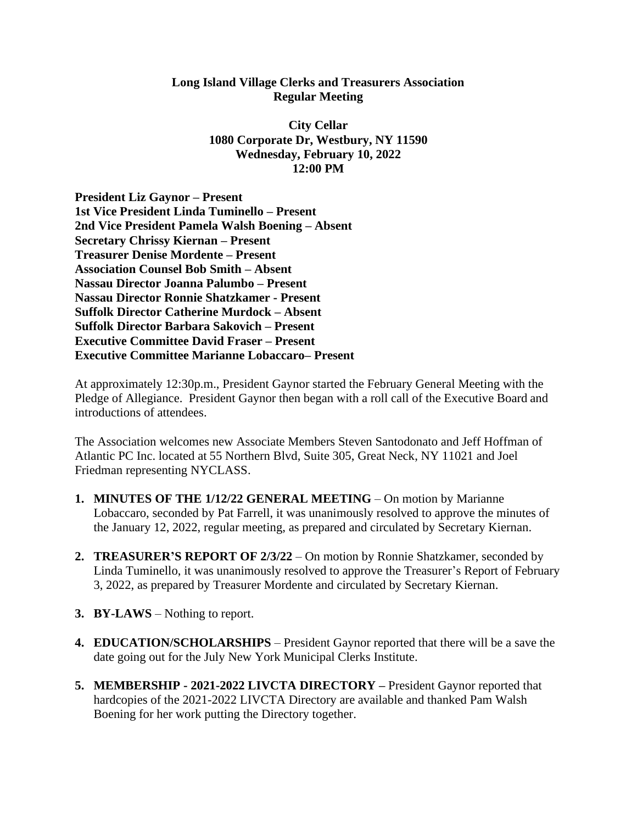## **Long Island Village Clerks and Treasurers Association Regular Meeting**

**City Cellar 1080 Corporate Dr, Westbury, NY 11590 Wednesday, February 10, 2022 12:00 PM**

**President Liz Gaynor – Present 1st Vice President Linda Tuminello – Present 2nd Vice President Pamela Walsh Boening – Absent Secretary Chrissy Kiernan – Present Treasurer Denise Mordente – Present Association Counsel Bob Smith – Absent Nassau Director Joanna Palumbo – Present Nassau Director Ronnie Shatzkamer - Present Suffolk Director Catherine Murdock – Absent Suffolk Director Barbara Sakovich – Present Executive Committee David Fraser – Present Executive Committee Marianne Lobaccaro– Present**

At approximately 12:30p.m., President Gaynor started the February General Meeting with the Pledge of Allegiance. President Gaynor then began with a roll call of the Executive Board and introductions of attendees.

The Association welcomes new Associate Members Steven Santodonato and Jeff Hoffman of Atlantic PC Inc. located at 55 Northern Blvd, Suite 305, Great Neck, NY 11021 and Joel Friedman representing NYCLASS.

- **1. MINUTES OF THE 1/12/22 GENERAL MEETING** On motion by Marianne Lobaccaro, seconded by Pat Farrell, it was unanimously resolved to approve the minutes of the January 12, 2022, regular meeting, as prepared and circulated by Secretary Kiernan.
- **2. TREASURER'S REPORT OF 2/3/22** On motion by Ronnie Shatzkamer, seconded by Linda Tuminello, it was unanimously resolved to approve the Treasurer's Report of February 3, 2022, as prepared by Treasurer Mordente and circulated by Secretary Kiernan.
- **3. BY-LAWS** Nothing to report.
- **4. EDUCATION/SCHOLARSHIPS** President Gaynor reported that there will be a save the date going out for the July New York Municipal Clerks Institute.
- **5. MEMBERSHIP - 2021-2022 LIVCTA DIRECTORY –** President Gaynor reported that hardcopies of the 2021-2022 LIVCTA Directory are available and thanked Pam Walsh Boening for her work putting the Directory together.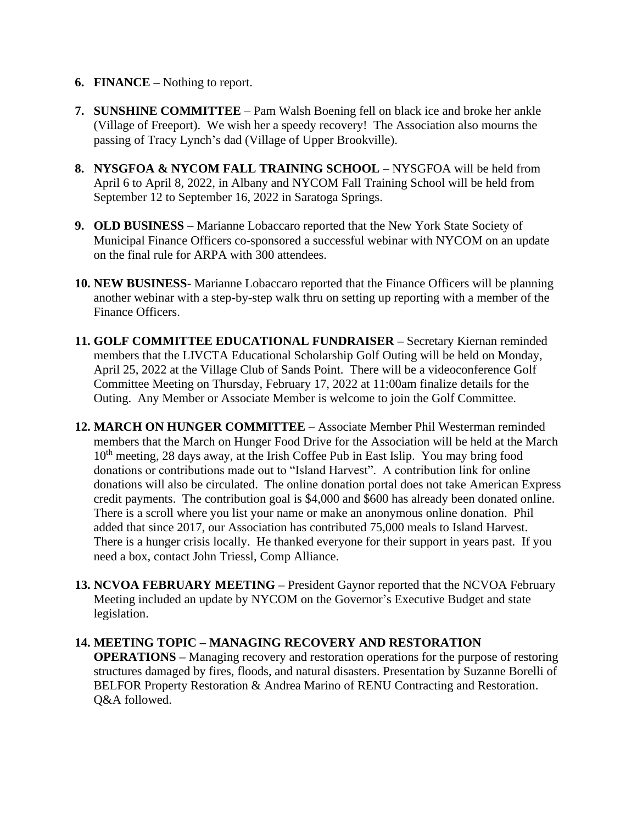## **6. FINANCE –** Nothing to report.

- **7. SUNSHINE COMMITTEE** Pam Walsh Boening fell on black ice and broke her ankle (Village of Freeport). We wish her a speedy recovery! The Association also mourns the passing of Tracy Lynch's dad (Village of Upper Brookville).
- **8. NYSGFOA & NYCOM FALL TRAINING SCHOOL** NYSGFOA will be held from April 6 to April 8, 2022, in Albany and NYCOM Fall Training School will be held from September 12 to September 16, 2022 in Saratoga Springs.
- **9. OLD BUSINESS** Marianne Lobaccaro reported that the New York State Society of Municipal Finance Officers co-sponsored a successful webinar with NYCOM on an update on the final rule for ARPA with 300 attendees.
- **10. NEW BUSINESS** Marianne Lobaccaro reported that the Finance Officers will be planning another webinar with a step-by-step walk thru on setting up reporting with a member of the Finance Officers.
- **11. GOLF COMMITTEE EDUCATIONAL FUNDRAISER –** Secretary Kiernan reminded members that the LIVCTA Educational Scholarship Golf Outing will be held on Monday, April 25, 2022 at the Village Club of Sands Point. There will be a videoconference Golf Committee Meeting on Thursday, February 17, 2022 at 11:00am finalize details for the Outing. Any Member or Associate Member is welcome to join the Golf Committee.
- **12. MARCH ON HUNGER COMMITTEE** Associate Member Phil Westerman reminded members that the March on Hunger Food Drive for the Association will be held at the March 10<sup>th</sup> meeting, 28 days away, at the Irish Coffee Pub in East Islip. You may bring food donations or contributions made out to "Island Harvest". A contribution link for online donations will also be circulated. The online donation portal does not take American Express credit payments. The contribution goal is \$4,000 and \$600 has already been donated online. There is a scroll where you list your name or make an anonymous online donation. Phil added that since 2017, our Association has contributed 75,000 meals to Island Harvest. There is a hunger crisis locally. He thanked everyone for their support in years past. If you need a box, contact John Triessl, Comp Alliance.
- **13. NCVOA FEBRUARY MEETING –** President Gaynor reported that the NCVOA February Meeting included an update by NYCOM on the Governor's Executive Budget and state legislation.

## **14. MEETING TOPIC – MANAGING RECOVERY AND RESTORATION**

**OPERATIONS –** Managing recovery and restoration operations for the purpose of restoring structures damaged by fires, floods, and natural disasters. Presentation by Suzanne Borelli of BELFOR Property Restoration & Andrea Marino of RENU Contracting and Restoration. Q&A followed.